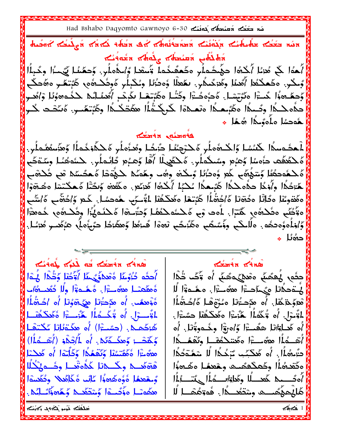

أَحثَم دُرُوَ مَمْا هُ مَعِدْفَى مِمَّا أَوْحُثَا وَخُدًا ۖ هُـِ هَا ۖ ةُ هَكُمْسًا هِرَهُ وَيَزَالَى هُ هُوءَ وَلَا الْمُعْصَرْةُ وَلَا الْمُعَامَلَاتَ وَّوْهِمَ، أَو هَرْجَتُوْلَا هِيْ قَوْتِلْ أَو احْتَهُٰذَا لمُؤْسِبْل. أَو وُكَــوُلًا هُزُســٰٓزَا وُهُكَـٰوُنَــا هُزِكُهِ ٨. (حِسْنَرَا) أَو مِكْتَوُلِّلْ كَكْتَهْهَ وَكْتَتْ: وَهِكَــدَّكَمْ. أَه لِمَأْكَدُو (أُنْفَــدُلُّا) هِدَّةَا وَكَمَّتْسُلَا وَكَفَـٰهُدًا وَكَـلَّتْهَا أَو مَُكَـٰمًا فقفكم وكحلائل كموقوع وشكلا وُمِعْعَمًا وَوْوَهُووُا يُأْلُبُ وَيُكْلِّعُكُمْ وَحُكْسَوْا مكمئا وَوَّصُدًا وَسْقِطُكُمْ وَجَمْعَةَ أَسْلَمُكُمْ.

## Krimin Kiro

الْمَتْ سَكَّمْ أَهْ بِلْمَعْمِرِكْمُهُ مِ شَهْعَلِّ رَمِّعَة هْرَوُ ذَلِكْلَ. أَه هَرَّدَتُوْلَا هُنُوَّوْهَا كَاكُشْلًا لمُؤْمِرًا. أَو وُّكْمُلًا هُزْمِتْنَ وَهُدَّهُلَا دِسُتْرًا. أُه هُــاوْاْلْـا هِعُــــٰٓزَا وُ/هرْزْا وِحْــوووُّلْـا. اُه أقدُا هؤمتْ المُحتىل وَتَعْصَلُهُ وَتَعْمَلُهُمْ حَتَمِهُماْلِ. أَه هَنْكَبُب تَبْحُدًا لَلْ مْعَنْوَجُدًا وكقدهُ أا وكَعِدْهُمْتُ وهْعَهْا وهُدُوْا أُودُّــــبِيْرِ الْمِصْـــالِ وكَعَلَّةِ الْــــوَيَا بِهِ يَسْـــوُكَمْ ا هَٰلِهُمِهُمَـــمِ ومَتَعُمـــدًا . فَمَوْهُمْـــــا لَل

تحلفكم لمراشط بابه تحفظ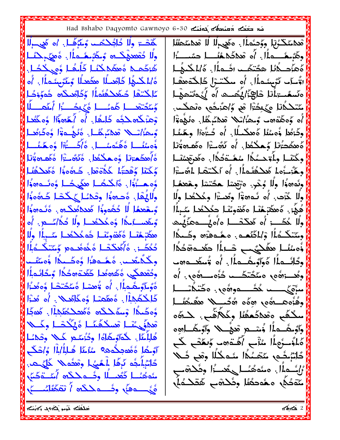Had Bshabo Daqyomto Gawnoyo 6-30 مَسْتَعْمَى بَعْضُكُمْ فَيْتَاتِيْكُمْ بَعْضُكُمْ بِمَا بِهِ بَعْضَ

كْتْشْتْرْ وْلَا خْلْجُكْتُفْ وْمْتّْوَصَّا. أَيْ هَيْسْرِلَلْ وَلَا تُقْتَدِهُكُ وَحَدَّدِهُ عَلَىٰ أَوْتَخِيَرِ كَمَارًا ﴾ هُرَحُمِيهِ هُمَهُهُكُمُلَ كُلُبِهُا وُمِيكُحُلَ. ذُالمَكْنُوا خَاتَّصِلًا مِثْعِظًا وُمِّتُوسِنَداً!. أُه كَلْكَتْقَا حُكْدَكُنُه لُمْ وَذَائَعْنَدُو خُووُوْدًا وَسَتَتَفَا أَيْدَ مِنْ الْمَدَىٰ الْمَتَصَدَّلَ وْهِزْكُلُوحِيْهِ كَلِيعًا. أَو أَجْلُوؤُا وُوكُعُدا وٌمعزُاتِكُ قَعَدُ الْمُسَاءِ. وَيُؤْسُورْا وُوَكَّرْمُمَا ذُهِ مُنْكَ أَهْ كُنُومُكُ أَنْ الْمَسْلَنِ وَأَكْتُنُوا وَهُ هَنْكُ ا وَٱهْكُمْ: قَا وَمَعْكُمُ اللَّهُ وَأَنَّهُ وَلَدَّا وَهُمُ وَقُلَّا وَكَتْلَا وَقْحَتُهُمْ كَذْتَهْمِلْ. كَيْفُوْرُا وَمُحْكَفُلُ وُهِ مُأْذًا. وَٱكْتُصًا مِنْكِيضًا وُهِنُتُوهُوْا ولَلْكُفَلِ. ةُدْهَوُ وَدْهُمُهُ كَلْحُمْلِ كَرْهُووُا وُ هَعَهُا لَا حُثُموذًا مُعَدِّمُكُمْ وَ وُنُمِّيَوْا وُخْسِبَرْجُل وُوجُحْجُحَا ولَا حُجُّابِّــم، أُو مَعَتَبِهُنَا ۚ ةَ مُقَوِّسًا ۖ ذَٰهِ خُلاَ مُحَاظٍ ۖ مَعَنَّا ۖ وَلَا دُدُكَــز. ةُأَهُدَّدْــا ةُخُوهُــوم وُسِّنَدْــهُ إِلَٰا وِكْمُئَعْبٍ. ةُهُـهِ فَأْ وُهِكْـمِمَّا وُهِنْتُب وكثعفكي ةَهُوهُما كَعُدَوهِكُما وُحُلِّدُواْ ةَوَمَآوَمِثُمامِ أَن وُحِسْلِ ةَمَحْتَصْلِ وُءِ هُمْ أَل كَالْحُكْمِيْلَا. ةَمَفَّصْلُ وَمَخَاصُلاً. أَو مُدْرَا وُوَصِّدًا وَسَمَحْكُمْ وَمُعْطَمُهُمْلَالِ مُعَوَّلًا تَعْدَنُونَ السَّفْسَاءُ وَيُخْصَلُ وَجَمَعَتْ الْمَسْتَدَمَّةِ وَجَمَعَتْ فَلِلَمَلَا. كَمَأْوُمَكَاهُ! وِدُّئِمَّـمِ كَلا وَحْمْـُـا اَوُحُط وُهُدِيحُدِهِ؟ مُنَزَّمَّا كُلِّابُاْلَ وُاصْحُب دَّاتَبْلُثُم نُرِفًا لِمُعْبِيًا. ومْثُمِيًا كَلِيُ عِبَ مئەھئىل كَعُنسلًا وتُسمحكُه أَسْتَوَكْسً فَيْ وَفَسْمَلَكُمْ أَتَقَمَّلْكُسُسُ

أَهْلَمْتَكْرُبْلَ وَوُحِثُهَ أَلِ. هَ هَيِ أَلَمْ أَلا مُحَلَّمَتَهُمُ أَلْ أَهْجَادِهِ الْمَحْتَمَّبِ اذْعِفَلَ وَالْمَحْمَدِ اوَّــَاّم تَّنْهِمْـملَٰا فِي مَكْتَــرَّلِ كَلِكَتَوْهَـا لْمُصَنَّفَ أَلَّا صَحْفُوا بِكَانَ الْأَسْتَحْسَنَ مِنْ مَتَحَدُّثَا وَكَبِثْرًا مَعَ وَاصَبَرُه لَتَحْمَدُ. أَه وَهِكَفَعِفَ وُحِقَةُ اتْبَلا ثَعَلِمُكُمْلًا. وَلَيْهَةٌ أَ وكَرْهُا وُْمِيْنُا هُمْكْسِلًا. أَو حُـَّرُّهْٱلْ وِهَيْنَالِ هُمهُجِّزَا وَحِكْمُا. أَه تَمَّتْزَا هِمُحَمَّرَةُ وكتبا ولمُقحمُدُ المُعْتَوُدُا. وهُوقِمْنَا وهَّزْمِيَّةِ وَالْمَحْكَمَّةُ وَالْمَجْتَنَّةُ الْمَرْشَلَ ﴿ وِثَمِهِ وَلَا وُحْدٍ. هَرْتَفِسْلُ هَكْتُسْلُ وَهْعَهُمْ ۖ وَلَا يُذْكِنِ أَو نُحْوَوْا وَقُعِيثَا وِيُحْكُمُ وَلَا |فُيْ: ۚ هُعَفَّتِهُمْا هَ مُقوِّمْا حَكَكَعَا مَنْظَا ولًا عُصَّــزٍ أَه مُحْكَصَّــا ه/هُمُـــهِ هَزْبُهِ هِ وِمَتَكَــدُاْ وْالْمُنْعَـدِ. مِعْـدِقْرُهِ وِكَــدُاْ أَهْمَنُنَا مَفَكَّيَبٍ شَـآلَا حَمَّـوَةَخُلَّا وِكَانُــدَا ا هُوَآوُنفُــداً ا . اُه وُمثَكَــده ومُكَّنْهُم مَمَكَّنْكَــب كُنُمْــــوهُم، أَه وفُزُهِ صَدْهُمٍ وَهُوَهِ وَهُصَبِيْلاً مِنْقَبِقُهُ ا سَكَكَمٍ هَمْلاَكْمَقُلَا وِكَلاَقُبٍ. لَمْــةُه وَٱوۡثَـٰدَاۢ الۡشَـٰع مَٰنُـٰـہٗ وَٱوۡثَـٰـٰاوہ كَمْأَوْسِؤُومُاْ مُنْأَسِ أَكْتَةِهِ وَبِعْضٍ كَبِ كَاتَبْضُمِ مَتَصَدُّأَا مُتَمَكِّلًا وَتَعَبَّ شَلَا رُكْتُمِاً. مِنْدَهُنَا لِمُعْصِدُ الْمِسْرَةَ وَالْمَسْرَاجَ أَمْتَحَكُمْ مَعْجَجُعًا وِثَكِّشْبِ هَٰذَكَمَلُو

تلاءُ مام الله على الله من المسلم المسلم المسلم المسلم المسلم المسلم المسلم المسلم المسلم المسلم ال

 $\mathbf{K}$ و کے  $2$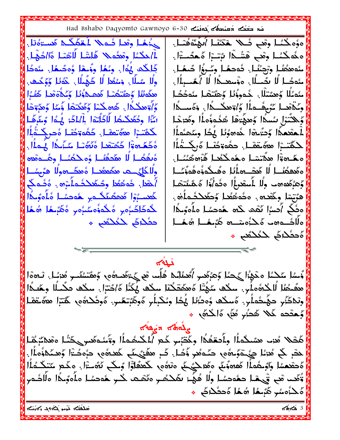End Bshabo Dagyomto Gawnoyo 6-30 مَنْدُمُ Had Bshabo Dagyomto Gawnoyo 6-30

حِيَّمُا وَقَدا شَمَلاً لِمَقَكَّلًا قَسْتِقَالَ. ـأَ/حكْـُا ومْثُملا كَاشْـا لِّاتْعْـا وَّاٰكُهْـا. كَالْكُمْ يُهَا. وِنُعْلَ وَزُنْعْلَ وُوَصّْعًا. نَبْوَكُنَّا ولًا سُبلًا. وَسُعُدا لَا كَهُبلًا. جَدْنَا وَوَجَّنِف. مكَمِنُا وَهَنَتَمْتَا مُدِمِكَوْنَا وَكَلَّةَ مَا هَنْدًا وَأَوْمِكُمَّا. هُومَكْنَا وَمُكْتَهَا وَمَنَا وَمَرَوْدًا اتْزًا وحُعُكَـٰهَا لَاكَاَّتْمَا بِٱلْمَحَٰذِ بِهُءًا وَعَرَهَـٰا لْكَمَّتْ أَرْ مَعَهُ تَعْمَلْ. كَعُمْوَكْسًا وُحْرِكْتُوْلُمْ ا هُكَمُووْا كَعُتْعَا هُلُهُنَا عَذْدًا لِمَدَاْ. ةَىفُعُــا لَٰا مِثَحَفُـٰـا وُه حَـٰهُـٰـا وِهُـــەتَعِين وللكلى حد محكم ومحك والمحتوية أَحْفَا. خُوفُفُلا وِضُغُلاخُواْجْرَهِ . ةَضُمْكُمْ لَّحْسَــرُوْا مُعَصَّمُكُــمِرِ هُوجِسًا وَلَمَوَيْجًا لْكُەكَاكْب<sup>ۇ</sup>ەبر ھُلْكُەۋەس*تىۋەپ ھُگڑى*غا ھُلا حثُدْرَكُمْ لِمُخْلَقْبِي \*

هؤهكْـُـا وقْدِ شَــلا هَنْـُنْـا ٱبِهُنْهَفْـا. مفَمَكْـُـا وقب قَشْـݣَا بُتَّرَا هُـعَـُــتْزَا. مَدَهْفُا ورْحِنُا. ثَدْهَا وسُروُا صُهْا. مِتَوَصَّـا لَلا يَحْسَـلُا. وَوْسِعِيـٰهُا لَلا أَيْعُسَـٰزِيُّال. مِنْمَىُلًا وُهِمُتَلَّا. خُدووُنُا وُهَنّتْهَا مِنُوحُحُـا وَكَمْقَدَا مُرْبِقُواْ وَاوْهِكُدَّالِ. وَهُسَــدًا وَجَالَتَنْزَلِ سُبِّدًا وَجَادَتْهَا هُدُوؤُولًا وَهُتَدَيْدًا } لْمَعْمَدًا وُحَبُّدْهَا خُوصُوْلًا لِمَكْلِ وَسُعَنُهَا لْكُتُبْرَا مِلْمُتَّهْدا. حَقُّووْدُنْدَا وَرَجَّدْتُمَاْ مكوۋا مكتشا مىگىكىل كۆھكىلىل. ومُعفِّصُا لَا مُجْدِهِلُهُا وقُبِيكُوفُوفُونُّط وُهرُهُدهب ولَا لِمُسْعَرِماً وَدَّهُ أُوُّا وَهَمَّسُتَهَا هَبْسْلُ وَكْتَعِدِهِ . ٥حَدَّمُعُعَلِ وُحَعُدَشَمِلُهِ . وَثَكُمْ أَصَبُرْا نَتَّمَعَهُ كُلَّهُ هُوَجِبُنَا وَلَمْوَيَجُلَّا ەللۇسەھە كەلمۇمشىھ كۇيغىل ھىمل ەُحثَدْكَ حْنُدْتُس \*

## شكنهم

مَّسْمَا سَكِسًا مِحْمَىٰٓا كِحِمَّا وَجَهْضِرِ ٱهْمَلْكُمْ فَلَمَد ثَمِيَّ تَحْسَنُهُ وَجَهْدَا وَلَيَجْت هفَممُلا لَلكُوهُملُرِ. سكُف سُمُتْل هُمَفَضَكْتَا سكُف هُكُنَّا هُاصَّتْرَا. سكُف صكْسلًا وهَنـدًا وِلْمَكَّنُو حَهُجُماُو ِ. ەَسكُفْ وُودُرُّلْ لِكُمْ وِنُكْبِلُو ەُوكَبْتْكْسِ. ەُوشَكْشُومْ كَنْتْرَا مِتْمَتْقَط أَوُهِقَدِهِ كَلَّهُ هَدُو مُنَّ وَالْحُبَّى ﴾

TEACH THALL هَضْلا مُن مسْكُماًا ولَمحقَّمَا وكَتَبَس كَم أَلمكشَماًا وتُسْمَعُس كَتُما هَمْتَنِكْمَا حصَّرِ ﴾ هُزمُا حيَّحةوُمهُم، حَمْدهُم وُحُـا. كَـرِ هفَيْهِمْ لَهمهُم، حزَّهكُمْ: وُهمُكلوْهاً. هُحقَعْمُا وَٱوۡعُمَاۤا هُمُعَهُّنَّى هَمُدَكَّىٰ هَ مَعۡوَىٰ مَعۡقَاوَۚا وُعۡكَ نَعۡقَاءَ عِكَمَ الْ وْكُف تْعِي قْيَحْمَا حَمْوَصْمَا وِلَا قُنِّي: تَكْتَحُبْ وَتَشْعَبْ كُثْبَ حَقَّوْصَلًّا وَلَلْقَيْ وَتَقْتَ ەڭ ئەس كېغا ھەلە كەشلاكى مە

تلنابه بالمتلكم سأم تلفظة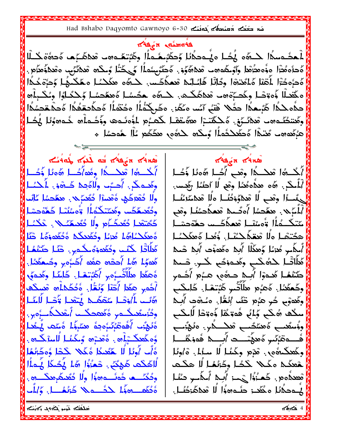Had Bshabo Daqyomto Gawnoyo 6-30 مَسْتَعْمَى بَعْضَهِ Had Bshabo Daqyomto Gawnoyo 6-30

**A-LID RyBry** لْمَحْـمسَمَّا ۖ حَـمَّةٌ مِ يُحَـا مِهْمِـمَـمَـمَـمَـمَـمَـمَـمَـمَـمَـمِـمَـمَـمَـمَـمَـمَـمَـمَـ َهُدَاْهِ مُتْزَا هِ فُهِ مِتْزَهْدِا ۖ وَآوُمِكُمِهِ صَدْمَكُمْ وَحَدَّمِيهُمَا الْمَحِيكُمَا وَمِكْتَم شَدْكَر وتحد وتحديث َهُدَّوَدُّوْا لِمُقَلَّ هَامُتَوْهَا وَدَاتًا فَاسُلُّهْ مُعَمَّكَس. حَـهُو مِنْحَسًا مَعَّكُنهُا وَحَزَّوَجُمَا ەكْتَخْلَا وُەوْشَا وِكْحَرِّةْھَتْ شَدْكُلْتُ فِيْ حَسَبُهُ مَحَسُبًا هُجَمَّصُبًا وَجَكْبِرَا وَيُكْبِرَاهِ حِفْهِكُمَا هَبُعِمَا حَثَلا قَتَبِ آتَسٍ مَكَّزٍ. مَحْرِجٌتُمَاً مَحْتَمَاً وَحَكَّمَكُمَا وَحَكَّمَكُم وكَتِنتَكْتَمُوتَ تَعَمَّلُتُوْنَ وَحَكَّمْتُمْ الصَّفْعَاءِ حَمْرُهِ عَوْدَهُمْ وَوَكَّدَانُو حَمَّاه و هُ وَهُدِهِ وَ اللَّهُ أَحْفَظَ اللَّهُ وَحَدٌ وَ اللَّهُ وَ اللَّهُ مَعْلَمُوا مُؤْمِنًا ﴾

مشاخطه منهلك مش منحوذ من منحف أكماه تعكسكا وثعالكما وهائل وكمل وهُده كُلّ. أُحِبُّب ولُلْهُمِمْ كَبِثْوَفٍ. لِمُكْسَل ولَا دُعْدِكُمْ وْمْسْأَا دُعْدَرْيِهِ . مَعْجِسًا ݣَالْب وكُعْبِمُكْسٍ وكُمُتَنَكَّدُاْ وَّوْمِئْتَنَا كُمُّوْجِسًا كَمُتْعْدَا خُعْدَخُور ولَا خُعْدِهَنْدَا : عْكْسًا ةُعِلَمْنَاكُمْ مُنْهَا وِحُكْمَهُمْ وَحُكْمَوْهُمْ شَا هَلَلاَتْهِ كَتَب وِحُعُدِوْهُ كُدِينٍ وَتَبْلُ دَيْنَهُا ۖ كَعْمَوْلَمْ كَا أَحْشَرُهُ هَعْدَ أَكْبَرْهِ وَحُبْعَثَدُلَّ. ةُهِعُدا هِلْأَثْمَرْهِ بِهِ أُهْبَتِهَا لَا كَلِّمَا وَهُدِيَ أَحُم، مَعَا أَتَتَا وَنُقُلَ وُخُطَأَه مَسْكُف رَهُنَــد الْمُوْسَــا مَتَعَمَّــد هُتَعَــا وَّصَــا لَلْمَـّـا ودُستَيْكُمْ وَمُعْصَّكُمْ أَيْعَلَٰكُمْ وَمِنْ. وَْلَكِنَ ٱفْعَظَمْتُوْدِعُ مِسْرَفًا وَسَعَدٍ لِمَعْدَا ؤەلگەكشۇر ۋە ئۇستون ئويگىئىل للىنترىكىدى. ةُأُبِ أُوبُلِ لَا هَتَعِيجًا ةَ كَلا حُجْرًا وُوجَابُهُا لْلْكَحْمِ كَمِنْبُ . شَعْزُوْا هَا يُصُكّا يُحالُ وَكُمُّـــم خُونُـــوووُّا وِلَا كُعُمكُرِمِيْكَـــرَونَ ةُكْمُسْبِهِ ذَٰلَ حَدَّسُمِيْلا كَرْتُمُسْلَ. وَٱلْمُعَا

 $\pi^{2}A_{\theta}$  ,  $\pi^{2}A_{\theta}$ أَحْدَهُا مُحْسَمًا وَمَعِ أَكْسًا هَٰهَا وَكُسَا أَلْمَلْكُنِ. وَهُ مَعْدُهُ مُعْدًا وَهْدٍ لَا أَحَنُدًا رَبُّعِيبٍ. لِّكَمَسْأَا وَتَعَبَّ لَا تَعَذَّوُوْتُسَّا وَلَا تَعَذَّمَدَتْنَسَا أَلْمَٰذٍ لِمَحْمَدِ الْمَصَلَحِ مُعَالِّصَلَا وَمَع متتكَّدُاْل وُّوسُنْدا مْعِجْدَسِ حِغْوْصْدا هكَتْشَا هِلًا مْعَمّْكْتْلْ. وُمُحا هُمْكْتْبَا أَمَكْسٍ مُنْزَعًا وَحَكَلًا أَبِيهِ وَهُدَوْفٍ أَبِيهِ شَيْئًا } مَلَاتْـا حَـهُكَــى ومَّـــەوْحَــى كُـــو. هِـــمكا حَنَّتُهُا مُدوْا أَبِيهِ حَـوَّى حَـرُمَ أَخْـورِ وكَعفَّدُا. هُمْ مِ مَلَّأَثُمِ هُبْتَهَا. كَامِكْبُ وهُدوْبِ حُرِ هزْمِ تَمَّد إِنْغًا. هَـُـوْتَ أَبِــهِ سكْف شُكْبٍ وِّلْنُ فُووّتُمْا وُّووْتْنَا لَلْتَكُبِ ووُسكُنب هُمشَكَنب ثَلاَسِكُبْنِ وَلَكِنَسِي فَـــوَةَبِنَــرٍ هَمَهُنَـــد أُبِـــد فَوفمُـــا وكَعِنْدُهُوبِ. مْتَرِمْ وَكَيْدًا لَا مِسْأَلَمْ. وْأُوبُلْ هَعكُمْ مكْلًا خْتُمَا وَخَرْبُعُا لَا هِكْتِ أَمْعِدِهُ مِنْ رَبِّي الْمَسْرَحِ الْمُحَمَّدِ وَاللَّهُ الْمَحْمَدِ وَاللَّهُ ا لَمْ حَكْمُلْ مِنْكُف; حَسْمَهُوا لَا مْعَاهَّ;خُسُل.

بحناأبلاء كالمخط سأله بحلفكة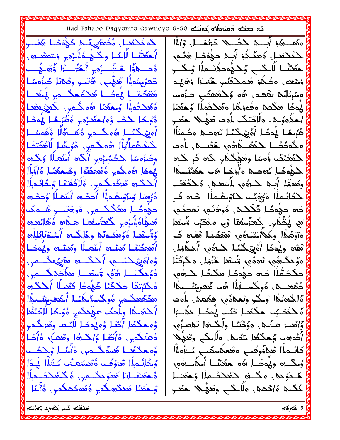Had Bshabo Daqyomto Gawnoyo 6-30 مَشْتَكَمَ Had Bshabo Daqyomto Gawnoyo 6-30

لْمُمْحَمَّدَا. هُمُعَاّبِهُمْ كُهُّوْصًا هُنْب أَحفَظُنَا لَلْمَا وِكُنْ مُلَٰئِهِ وَسْعَفَفِ وَ ةُ دَكْرًا جُتَمَسْرُهِ بِنَ أَجْتَمَسْرًا وَّقَوِّمِيَ َحْقَىُسْمَا) إِنَّكُنَّى مَانَّى وَكَذَا كَبَزُّهِ مُنَا تَعْتَمِّصْلَا مُكْمَّمَاتَ مِنْ الْمَحْمَدَةِ لِمَسْتَمْتَنَ فَقُلاحُماً وُحِقَقًا هُولَاءِ. لَكُفِّي هِقْدا وَّوْمَعَا لِكُمَّا وُو(ْهَغَنْزُورْ وَكَبُرْهَا لِهُوَا أَدْيَكْسًا شَعْكُمْ ذَكَرْ الْمُكْرَمَةِ الْمُتَحَمِّدَةِ الْمُتَحَمِّسَا كْخُبْمُوب*أيْاً*ا شَوكُوبِ. وُوُخْصًا لِّلْأَهْ*خُ*تْشَا وِصُنُّومُا لِلصُّبُوبُومِ أَلْحُمَ أَمَّعَطَّا وَحْدَه يَهْدًا شَهْدَهُمِ شَهْدِهَنَّهُ إِحْسَفَهُمْا غَافَيْاً أَلْمَلَاتُ هُوَكُمْحُمْدٍ. وَٱلْكُفُسْلِ وُخُلَائُمِلًا وْرُوهَا وُلَرُّوْلِقُومُاْ أَحْشَرُ أَعْلَمُلَا وُحِشْرُه حهْدَدًا مِدَكَنَدُورٍ. هُوَهْنَدِ هُدَمَّد مُعَلِّهَا أَبِرُهِ بِمَحْظَمَتِ الْمَحْمَلِ مِنْهُ وَأَهَلَّكُمْ وَالْمُحَمَّدِينَ وَوَّسْعْدا ةَوَمْكُمْكُمْ وِكْلِكُسْ أَسْتَقُلْلَلِلْهِ أَهْهَدُنْنَا مُنْسُرِهِ أُعْصَلًا ومُنشَرِهِ وهُوَدًا فَوُحكْتْكُمْ وَمُتْعَظَرِ مِلْكُمْكَسُوبِ. وَكَمَتِهَا حَكَكَنَا كَمْوَجًا كَعْظًا أَحْكَمَ مكَمُعكُم، ذُوكُساًنكُمُا أَنْعُصِهَنَدُمَ أَحْدُمُكُمْ وَأَحَمُد مَهْدَكُمْبِرٍ ةُوَمِّمَا لَاهْنُتْدَا وُممكْعُا أُصْلَ وُمهُمصُل لَلسُّم ومُرَكَّمِر ةَهْبَكُمْبِ. ةُ/ُحْتَىٰلُ وُ/جُدْهُا وِقْعِصَةٍ وَٱكْرَ وُەھككىل كَسَەگەر. ەُأَسَّل وْݣْحُس وُخَالُـٰدِياًا ۚ تَدْوُفَـٰٮ ڎَقُسْنَدِـنُوبِ كُـتُٰٓرَاْ ۖ لِـُـدَا هُ مَعَمَّنْــانَا مَدَوِّدَــْــدِرِ. هُ كَـمَعَدَثَــدِيَا وُ مِعَيْنَا مُسْكُومِكُورِ وَمُعْصَفَهِمَ وَالْمُنَارِ

0 11/2 - أَبِيهِ الْمُسْمَلَةِ الْمُسْمَلِ. وَإِلَمَا لحَكْكُعْلَ. هُمْكُمُو أَبِيهِ حَوْتَهْصًا هُنُوب حَكْتْنَــا لَاحْكَـــى وُحْـجْودَهُنَــواًا وُحكّـــو فِسْعِدٍ. وَحُكُّوْ هُدِيْدُتُسِ هُزْتُوْلُ وَهْلِيد وسُبْلَكُمْ تَقْعَدْ. وَهُ وَلِكَعْتَمَتِي حَزَّةَ مِنَا لْمَحَا مِكْتِمْ وَقُومُمُا وَمُحْتَمَاًا وَحَكْمَا أهكُهوَمِينَ وَلَاكْتَكَتْ لَمُوتَ تَعَهُّمِينَ حَقْدِ الْمَهْم مُحَمّ لَنْكُرُوهُ لَكُمْ لَمْهِ لَهُ بَقْ مكْمُحُصًا لِمُنْصُلَّةِ، هُوَسِيلَ فَمَوْسَمًا وَمِنَا لْكَعْثَتَكَ وُّەمْا وْتَعْهْكُلُو ݣُلُو كُر ݣُدە لأَمْدُمُ مَلا مُحْمَدًا مُنْ مَحْسَنَ مَعَيْنَا مِنْ وهُدوْمَا أَبِيا لِمَدْهِ لِمُتَعِينٍ مُكْتَقِّب لِكَفَانُـماًا وَرُقِيِّب لِكَارُوجُـماًا تَــ هَــ كَــ دْه حهْمْدًا كُلْكُمْ. هُوهُنُم، تَعْجَدُم، َّى هَٰذُهُرٍ. كَعْتُمْعُمْلُ وَبِي مَخْتَبُتِ وَّسْعَد |هَوْهُمُا وِخُلَامُنْتُمُو هُتَمَصْدًا هُدُه كُمْ هُمْهِ وَهَمَا أَهْرَى كُمُا حَدَّةٍ مِنْهُمْ الْحَدَّةِ. هَ وَحِكْمَةً مِ تَوَهَّوَ وَمُتَعَلِّمَ وَهُوَا . مَكْرِكَتُلُّ حكَكَتُماً قده حهْمَصًا مكْتُصًا حْدَةُهِ، كَتْعَصِـــــــمْ . هُوحَــــــــامُمْ الْمَعْـــوْمِيْتَـــــمِمُّا أَهْلَكُمْنُكُلُّ وُسْكُرْ وِتُعَكِّدُوا وَهُمَكِنَّةٍ وَأَوْتَ هُكْتَــَرَٰٮ ـ هَكْعُــا تَتَــٰ لِـمَكْــا حَدَّـــَرَا أَوَّأَهُد: هَذَه. هَوَّظَنُّا وأَحْدُهُ! نَمْهَنُوم أَدُّه هـ وَحَكْمًا مِّتُم ما اللَّــهِ وَتَعَهَّلا ثَالُــٰه اللَّهُ اللَّهُ وَهُمْ اللَّهُ مِنْ مَسْلَمْ اللَّهُ عَلَيْهِ وَالْمُلْكُمْ مِنْ الْمُسَام أَوُحِكْ هِ وَيُوطَطِ أَوْهِ لِمَحْظَفَ أَيْحَاضِهِ وَيَحْسَنُهُمْ وَيَعْمَلُونَ مَّدَوِّدِهِ. مكْنُ لِكَعْلَاشُداً وَحَقَّدًا | كَكْمِكْ هُ/شَعْكْ. ولَلْمَكْنِي وِتْعَهْيَكْ حَقْدِ

تلاءُ مام الله على الله من المسلم المسلم المسلم المسلم المسلم المسلم المسلم المسلم المسلم المسلم ال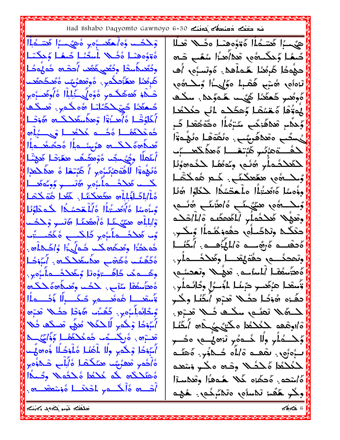Had Bshabo Daqyomto Gawnoyo 6-30 مَسْتَعْمَى بَعْضُكُمْ فَيْتَاتِيْكُمْ بَعْضُكُمْ بِمَا بِهِ بَعْضَ

وْݣْلْسَا وْهْ آْهْفْسْرُهْمْ هْتّْكْسْرّْا كْتَسْتّْهَا أَ وُوَوَوهَا وَدًى الْمُعَمَّا حُسْمًا وَحَكَّمَا وَكُعْدِكُمِيدًا وِكُعْنِي كُنَّفْ أُحِضْرُ ۚ هُولُوكُمْ ا كَرِثْتُمْا مِمْزُعِكُمِنٍ. ةُوتَعْفَرُهُمَا ةَتَعْبَكُمَتَعَب صَـٰٓۿۏۦ كَعمَعَـُـُـمبِ ۚ ةَوۡمَ ۖ ۖ يَٰٓ يَٰٓ يَٰٓ يَٰٓ إِيۡلَا ۚ ةَ ٱوۡ كَعَــَّوۡمِرِ كُنْمَعْيْلْ كُنْتِيْ حُكْتُلْهَا مُوْمَ كُنْدِ. وْسَنْدُفْ أَخَاوُثْها ةُأَهْدُوْٓا وْهِدَٰمْتَعَجَدُوا وَفَوْصًا دَّعْكَمُّكُمْ أَدَّدُ مُكْمُدًا فِي أَوْلَى تَعْبِدُوهُ حَكْسُوهُ هُمُ سُمِيًا وَحَقَيقُهُ وَلَمْ ا أَسَّطًا وِكَهْسَفٌ وُوْمَضَعٌ مَعْزَمْا مُدِيَّا هُنُهُوٓوٓا لِّاقُقمبُنُوۡمِرٖ /َّ كَبُبْتَهَا ۚ مَكۡكَمۡدَاٖا لَّكَــــا مُلَكْــــوالُمُوْمِ وَالْمَــــوِ وُوعُوَهُـــا هُاْكُلُوْلُمْلُو مِحْمِكْتُمْلِ. كَعُمَلِ مُقَكْهَا وُ مِنْهِ مِمْلٍ هُ أَرْمُدْ يُؤُلُّلُ هُ أَمْلُمْ هَدِيْتُ الْمُحَدَّاوُ يُل وْالِمْلَهُ مِنْتَيْهَا وَٱمْعَنَّا وَٱسْرِ وْحَصَّا وًى هَٰلاَثْــــماُنْزَەپر كَالْكَبِـــع هُكَتُـــــتَّوَى هُمحَدُّا ومُعمَّده كَبِّ مُمَارِّدًا وُاكْتِدَاهُ . ەڭگىگ ەھەب ھەسكىلىگەن ، اُمْرَوْحُا وهُـــدنُد كَافَــــْرُودْا وُخَلاخُـــداُخُوي. ةُ هَتَمِيعُهُمْ مَنْ بِ لِلْكُبِ وَكُمِيمٌ وَهُكُمْ كُلْكُمْ وَّسْعَصِيبًا هُومُّصَــوں صُكَـــرِلًّا وَّذْـــولُّا وَمَكَالُهِ أُمْرُهِ بِ. كَعُمَّت هُوْتَنَا حَثَىلًا ۚ قَتْرُه أَعْذِدًا وَحَدَّمٍ لَلْكُلا مُلَى مُسَكَّد مُلا تَعْبَرُهِ . ةُرِيْحُسَمُتْ خُمْخُخُصًّا وُؤُلِّيْنِ ۖ هُ أُمُؤَدًا وَحُدَّمٍ وَلَا لَأَهُلَا ةَلَوْدُلًا وُّوْهِ بِّ ةُٱضُمِ تَعْفَرُهُما مِسَّكْتُمَا ةُٱبْلَى شَكْوُّهِۥ ةُهَلَكُمْ لَكُمْ مُحْكُمُ وَكَحُمْهَا وَصُمُا أُصُّده ذَآ كُسمرِ الصُّحْسَــا ذُوْسْعِثْعَــــــهِ .

تلناهم بالخطر بمهذ تطفلخ

اللَّهُ مِنْ الْمُتَسَمَّلَا هُوَوُهِ عَلَى الْمَسْلَا هَــلَّا أَحْسَمُ أَحِكْسَةُ مِنْ تَعَذَا مُصَرًّا شَعَّبٍ شَدَّه حَوْمَا كَرِمُمْا هُـٰماًقِي. كَوِنْسِرُّى أَف إِنْهَاهُمْ هُنْهِمْ هُمْهِا هِ إِلَىٰ أَوْ هُمُ الْمُحَمَّدِ أَوْوَمُدِ وَحُمَّعُدًا هَيْبِ هُـوَكِنْدَ. سَكَـْفَ أَعْوَّقُا هُـقْسُفْـا وُهكْـدْه عَلَى حِكْـدُهْـا أَوَّحَدُّ مِهَ مَنْ مَنْ أَوْلَمُ الْمُتَوَامِّهُ مَنْ مَنْ الْمَجْمَعِينَ مَنْ أَنْفُسِهِ مِنْ أَ أَهُكُمْ مَا مَا مَثْلُهُ مِنْ مِنْهَمْ مَا مَا مِنْسَرِينَ لِحَفَّـــةِهْزَمُــرِ هُبْتُمْــــا هُمَمْكَمَـــرَب لمُعْلَمُشُمْلُو هُنُمٍ وِغُمُعُكُمْ لَحُدُهُ وَلَا أَوُكِــوهُ مِمَعِنَكَـبَ . كَــع هُمكْشَــا ووَّْدِمُا دَامَّنْتُ أَلَّا دِلْمُتَمَدُّا كَحَاوُا رَدُّلُا وَسَلْسِمَاهُ مِنْ مَيْنِيْسَمِ وَمُسْلِمٍ وَمُسْلِمٍ وتَعهَّلا كَعْلَـثَمارُ ٱلْمُعْصَّف ةَالْمُلَّـذَهَـــ حنْكُـٰه وِنَـٰهَـٰـاُو حَقَّوْمُتُـٰمَاُا وُحكُــر. هُدفَسِــهِ هُرَهُمْـــهِ هُ/لمُزُهِـــهِ . اُلْكُنُــا أَهُ هَتَمْسَعُمْهِ أَمْلِمِيْدِهِ . هَيْجِيْلا وِتَعْصِيَهِمْ |قُسْعْـا هَزْهُنــو حَبْـنُـا الْأَنــرُلِ وكَانُــٰماُو.. |دَهَّـٰ;ہ شُوْتُـٰا دَشَـٰلا شَـٰٓزٖہ /ُمَّتُـٰا وِـكْـٰـرِ لمستَمَلا تَعتُمِ مكْتُ شَلا تَعْبَرَمَ. أَهْ اوضْعَه لِمُمْلِكُمْ مِكْتَنَى الْمَمْلَكُمْ لَهُ مَعْدَهُ الْمَحْلَمِ أَوَّكَـــدُاُمْ وَلَا خُــدُّيْہِ تَنْھَلَــبَ ہِدَـــر سَزْهِزُوبِ. بَقْعَتْ وَالْمَاهُ صُلْحَافُونِ. وَهَنَّتْ المكلكعا ةلمفكل وشحه مكبو وشعده أَمْ سْحَمْ. هُجَهُّزْهِ كُلا هُجْعَةُ أَوْتَعَظِيبَانَا وِكْمٍ هَقَدَ لَكَمَانَ وَلَكَتَرِكُتَهِ. هُهْتَ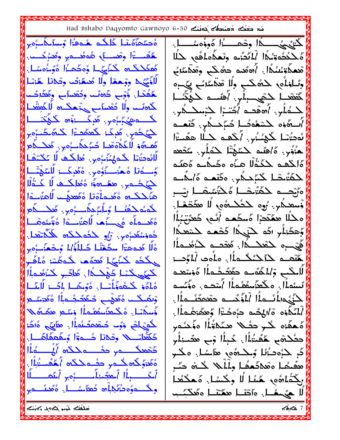Had Bshabo Daqyomto Gawnoyo 6-30 مَنْتُمُ 50 Had Bshabo Daqyomto Gawnoyo ةَحسَّمَزَّهُ بِٱلْكُلِّكُمُ الْمُتَحَافِزَا وُسَلَّاحَاتِهِ وَ كَتَرَى سُكَّا وِحْمَدْا دُوؤُه سُــا. هُكْخُووْنُكُا ٱلْمُتَنِّدِ وِتَعَكُّوا هُوَ كَلَّا ِمَّقُــــَّ;َا وَتَعَسَـــلَّى هُدَثَنَـــدِ وَتَعْبُرُكَـــب. أَتَعَمَّاوَنُسُمَّاً. أَ7هَ مَد دَهُكُم وَتَعْلَمُنَكُمْ هَمَكَكُنُ كُنُوَيَ أَوْهَ هُمْ أَوْ مُؤْهِدًا وَمُنَافِقَ لَلْأَجْبَكِهِ وَوْهِمْلِ وِلَا تَسْمَرْتُ وَدْمَانَا هَزَيْنَا وتُسلولهم لمن مثل ولا تَعتَّلْمَنْدَ لِيَ و لْمُفْتَالِ وَّوْبِ كَمَنَّتْ وِكْتَسَابٍ وِكَذَاكَتْتَ كَقفسا حقىببأب أفسُــه حَوْتُمُــا كُونَبِ وِلَا دُقْعِينَا فِي الْمَحْشَرَةِ وَالْمَحْشَرَةِ فَيَسْتَقِيمَ لحَدُمُن، أَهْقَصَمَ أَكْتَبْرَا لِحَبْسِكِلُمْنِ. كمسمون وأردو والمستوق كلاتم |}َلَــِيَّةُوَهُ لَكَــِيَّةُوَكُــا كَــَرِّحَـــدُونِ. كَنْعَـــد لْكَيْحُمِرِ. مُدِكَّرَ كَعَمُّمْتَ الْكُلُّمُّكُورُور ا نُودُتُم كُونُدُن، أكْفو كِلًا هِقَدْرًا <u>َهُــِيَّةَ لَاكْذُّەْنَـا كَـَزْحَدٌ ـُوَى ِ</u> مَّكَـــدُهِ ِّهُزُونِ وَاصْلَهِ كَسَّوْتُنَا كَمَلُونِ مَتَقْعَدِ لَللَّهِ صَبْتَا لِكُمْهُنَّذُوْهِ بِ. مُعَلِّكُنَّ لَلْا كَكْتَهْهَا وَالْكُعْمَ لِكَنَّةُلَّا هِنَّهِ وَضُمُّتُ وَهَنَّه وَّحْسَدُنَا هُجُرْحَارِيْنَ هُفَرِكَتِ لَلْمَوْشَاتِ لْكَتَّرْكْبَا لْكَتَرْجْحُمْنِ. وَكَنْعَتْ وَأَرْجَابَتْ لْمَكْشُمْرِ. مَعْصُدُوْا وْمُعَلِّكُمْ لَلْا يَحْشُلْلْ وَرْبْحِـــو حَكَّبُـْتْــا هُجْنُمُنْمْــا رَبْــِ مَزْحَكَ وَ وَمُحَمَّاةَ لَا وَ مُعَجَّبِ لَا مَتَنَّبَ ا أَوْسِعِيكُمْ ِ. رُوه لِكَفْلِيهُ ﴾ لَا مِكْتَهْا . لْحُمْدُدْفُسَا وُلْمُ حَدَّسِرُهِ بِ هَٰذَلَكُمْ وَحَلَا مَعَنْدَا وَسَكَمَهِ أَنَّوِ كَعَزَّتِهِ أَ وَمَحْدِدَهُ وَيُسْتَوْهَا لَلْعَتَّوَسْدَةُ وَقَضَّدَهُمْ الْمُؤْسَّدَةِ وَّعَكَّبْلُرِ اكَّهَ كُنْهَكُمْ كَشَعْبُهُ كَشَعْدُا جُوفِمُعُمْزُونِ. ﴿ وَإِنَّ الْخُوجَانَاتِهِ الْكُمْتَعَالِ. كَيْبِ مِ حَتَّفَكُمَّا. مُحْصَد كُرُّهُدهاُ ذُلًا مُدءَةًا سَكَمْتُنَا كَالَمُّهُا وُحْمَزُتُوبِ هَنْعَــد كَرُكْنَكُــداً!. داءُد أَلمَوُكَـــز بِكَلَّفَهِ كَتَبْهَيْهِا هُضَهَا لَاتِّبَعْنَا هُكْر لَلْعَلَى وْالْمُفَسَدِ حَقَصَّصَلَٰا هُوْسْعَدَ ِ كَيْهَى كَتْمَا كَهْكُمَا. هُلِكَبِ كَنُوْهُدَهُ**ا لَهُ** سُمَماً الله مَكْعَزَ مِعْشَماً الْمُحَدِّ وَوََّسُدِ ةُ اهْوَ كُنفُوذُاً ثَلِ. وُدِّهُما إِكْرَ لَا سُمَا لِكَيَّى الْمَسَامُ الْمَؤْكَسَـــه حقومَصَّـــمالُ . وْتَعْبَكْتْ وْكُنْهُتْ شَكْتُمْشُومْ وْلْمْ وْكُرْمْتّْتْ زَّسكُتْل. ةَكْتْخُرْسْخْشُمْلْ فْتَصْحْرْ مْخْصَرْهَا لِلْمُسْتَخْرَجَةَ أَمْلَكُمْوَه ۞الصَّدُ دَعْرُه دَعْتَرَا وَحِدَّهُ;هُـدَمَاًا . لْكُوْيَاتْ وْوُبْ شُعْفْعْشُمْلَالْ. هَلَايَكُمْ ذَاكَرْ أَهْجَعُوْهِ الْحُسِ حَشَيْلًا مَلَّامَةً مُؤْخُلُونَ مَعْ مَشْجَدٍ حثَكْشَى هَّقَتُنَالًا. خُبِلًا وَبِ هَتَمَامُ كَمْعِكْــــــــم حَدْـــــــــمكَّدَه أَيْـــــــمُلَّا كَرِ حَزَّەدْتُكَ وُحْدَثُورٍ مَأْسُلٍ. مكْتَر ەُمُرْكِكُمگەر جِئْـمِكْكُمْ أَجَّفُـــّْزَلْمَا. هَقَبْصًا هَمْكُمْهَا وِلْمُلَا كُنْ حَتَّى بِكِتُهَارُوهِ، هَمُهَا لَا وِكْسُهَا. هُ هِكْعُدَا ولَكْسوؤُودُرُكْمِلَاهِ دُهْرُسُسْمَانِ وَْهُمْشُسُورِ لا هيْجِمْها. وَأَحْسَا هِمْتْمَا وَهُكِبْب تحلفكم لمراشط بابه تحفظ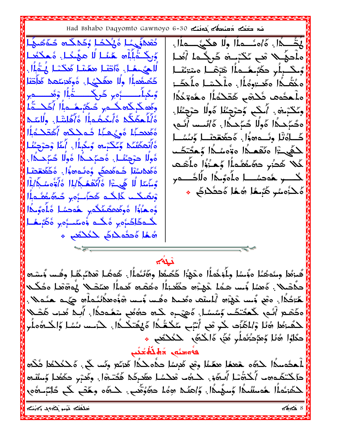Ead Bshabo Daqyomto Gawnoyo 6-30 مَنْعُكُمْ Had Bshabo Daqyomto Gawnoyo 6-30 لْهُعْمُغُى ٱلْأَهَدَا وُكُمْكُلُّهُ شُمُعُهُمْ لَخْصِهْلَ وَاهْتَهَا وِلَا هِكْنِيْصِهَالَ وَرِجٌدَٰٓ أَبَلَهُم مَّسًا لَا عَهُكًا. ةُمكُعُـل ەلمكە ئىس ئاتتېرىن كرېگىما أَمُعا لَلْمَيْ هُلْ. وَٱحْسَلَ مَعْشَلِ مُحَدَّسًا بِمُخْلِفًا. وُكْبِلُو حَكَبُكُما قَوْصًا مِتَبَكَّل كَمُمثَّدهِ إِلَّا مِنْ الْمَحْرَىٰ الْمَوْجَنِّدِ مَعَالَةِ مَعَلَّا الْمَعَالَ مكْثُما ا مَعْتومُلُل. ملْكِسْا ملْكِتْ: وَحَدِكَ سَـــوْمِ حَمِكَــــــقُبُلُ وَقَــــــــــمِر ملْعثَمِ ثَلاشَ هُقَلْمُلَا مَعْمَتِكُمْ وَهُمِكْرِكُمْ كُمْ دُمُّ مُحَمَّدُ أَكْلَنْ مَلَّا وِمُكْثَرِّمَةٍ ﴾ أُمْكِعٍ وُحَرْجِئُلًا هُولًا حَرْجِئُلًا ﴾ وْ)لُمُهَنَّكُمْ وْأَحْدَمُوهُاْلْ وْأَكَلِتْبَلْ. ولُلْمَكُمْ ەكْتَرْجْجَا ەُولَا جْتَرْجْجَا. ەْ/ئْتْسَى اْنْتَى أَمُعدَّنَا وَيُهِنَّا شُمِعْكُم أَهُقَحْدُواْ كْلُوْتْلْ وِنُــدْهُوْلْ. هُجَعُعْجَنْـــلْ وُبِئْسُـــل ةُ *اتْ*عِظَيِّكُمْ وِّيْكَيْرِ مِنْ وَلَيْلًا وَ الْمَ*ثَ*ا وْحَرْجِئْنَا ا لِحَقِّيتُوا وَتَقْعَلُوا وَوَّوْمُكُمْ وَعَقْتُكُمْ ةُولًا حرْجِئُنَــا. ةُحبِّحِــدًا ةُولًا حُبِّحِـدًا. لَكُلَّا هُدُّبَ دَهُنْهُمْ وَالْمَدُوْلُ وَالْقَبْصَ هُكْلَاسْنَا شُمكُنفَ وُمِنُمُووُلُ. هُكَكْتَحَنَّا لْمُسْبِرِ هُوَجَمُدْ الْمَوْمِدُا وَلَاخُسْتُورِ وَيَّتَمَا لَا كَبِّ أَنَّهُ مَا ذَانَّةَ هُمَا إِلَى مَا أَوْدَهِ مِنْكُمَا إِلَى ا أَهْلَأُهِ مُبْلِي هُمْ اللَّهُ مُحَفَّلَاتٌ ﴾ وْتَمَتَّبَ ݣَالْمَدْ هُجَأْتُوْمِ جُبْهُتْهُمْدَةِ أَلْ وُمِعْزُوْا وُوَهُمِمُكُمْدِ هُوصُلًا وُلُوَوُلِمَّا ڲ؎ڬٳڬڹ<sub>۫</sub>۫ٶؠڕ؋ٞڲ؎؋ٞڡػٮڹؚۢڡۑڕ؋ٞڴڹؚٞ**ٮڡؙ**ٵ ھُمُّا ہُحشُمْ کُنْکُم \* لكبائكهم َ قَـٰذِهُا وِمنُومُمُا وَوَّمِسًا وِلَمَوْهُوا وَحَكِيُّا كَتَعِيعُا وِرَهُنُمُاً. هَوصُلاً تَعْطَيْطُا وفُـس وَحشت حَدَّثَىلا . هُمثلا وُست هدُل حَكِيَّاتُه حَكَمْ زَلَٰمَ هُمُعَيَّنَ مَعْشَلًا ۖ وَهُوَمَا وَحُكَلَم هَّرْكُمُّا. وَهُمْ وَّسَا غَنْيَرُهُ ٱلْمُنْفَ وَقَصْدُ وَفُسَا وَّسَا رَهُؤُوهِكُلُمُدَاَّةٌ فِيَ حَقَيْدَ ل ەڭھَـــور آئـــى گــــــــا كَــــدَىــــار. كَــون كــــــــو دەُمُدى شــــُـــدەكـــــا مَــــدىكـــــــــــ ﻼَﻌُﻨُﻮّٰ ﺍ ﻣُّﻧُّﺎ وۡ/ﻟﻤُّﻨُﺕ ﺟُﺮ ﺗُﺖِ ﺍَّﺘِّਸِ ﻣَّﻜُﻌُّﺪًا ﻛَﻟِﻌَّﺘَﻜُﺪًا . ܠَﻧِـﺖ ﺳُﻤًﺎ ﻭَﺍﺟُـُّ وَﻣَﻠُﺮٍ حَكَاوُا هُنَا وُهَرُحُتُهُمْ هُنَّى هَالْحُبَّى ۖ حَكَمَكَمَى \* منْتَمْ مَثْتَمَاءَ مَشْتَمَّةً لْمَحْمِسِكَا لِحَمَّهِ مُعَمَّا مِمَّسًا وَتَع مَّدِسًا حَدُّهَكُمَّا مَّذَبَّمَ وَيِّسَ لَكَي. هَكْكَمُا شَكَم دَٱلْكَتَكَـهِ ۚ وَلَكُنُّهُمْ أَلَـهُوۡ ۚ كَـهُ ۖ تَعَكْـمُا مَعۡدِكُمۡ فَقُنَـهَا ۚ وَمَٰدَىٰ حَفَعُدا وَسُلْنه لِكُمُّوْشُماْ | هُوسُلْما الْمُسَهَّدِهَا الْمُؤَمَّدُ وَاحْدُوْتُولُسِ مِنْ حَاجَمَ مِنْ مَكْسٍ كُ سَنَاهُنَا مَوْسِمٍ بَكُتَهُ بِهِ وَأَعْلَمَتْ ፈዋ<⊽ ⊱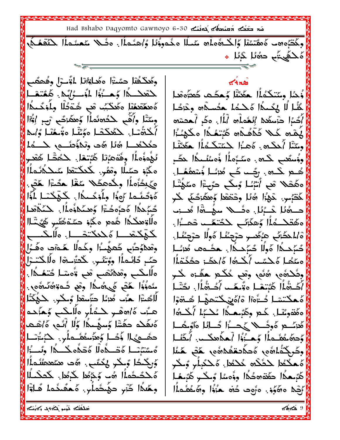Had Bshabo Daqyomto Gawnoyo 6-30 مَنْتُمُ 50 Had Bshabo Daqyomto Gawnoyo وِكْتَزَهِ مِنْ مَعْتَمَتَنَا وَالْحَدْثَةُ مَا الْمَحْدَوِذُكَ وَاهِنُمَالَ. وَشَلَّا مَعْشُمَا الْكَنْفَصَلّ ەللېم دەئا گېلا . وهُكْحُلًا حِسَّتًا وَهُلَّاؤُكَا لَمُّسْرًا وِهُمِكَب  $79.6$ لِكَعْلَــٰهُ! وَحَــٰٓزُوْ! لِمُؤْسَـرُ ٰهُمْ. هُمُتَمْـا ذُهْا ومّتكَّمُلُا هِفَمْتْل وُهكَـب كَعتَوهُـا هُمْقَعْفُلِ هَمُكْبُ هَي هُـتَمَٰلًا وِلَمْعَمَدُا حَثَٰا لَا جَحَــدُا هَــدَـهُ! هجُســدُه وحْزجُــا وِمِّتْلُ وِٱلْقَمِ لِلْدُوهَا الْمُحِكَّدَكَمِ ۚ رَبِّ إِوَّٱلْ أَحَّرُا حَرْسَعُهُ إِنْعُمَانَ أَلَمَّا. وَكَر أَعْدَشَهِ أَكْرَّقُنَا. كَعَدَّمْا وَوُتْنَا وَقُكْنَا وُاحْ لَمِشْهِ كَلَّا كَذّْفُـدُهِ هُبْتُغُـدًا مَكْمِنُـزًا حكككه المؤلم الأه وتكأوئسها للسماء ومَثْلا أُحِكْمٍ. هُجِبًا حَمَّتَكُمُا هَفَيْتًا ووُسعٌمب لكـ3، ممَّـزَّماُ! وُمسُلَـماُ! حَصَّر ىُهْوَوْماُ! وقَوْمَ ْنَا هُبْتِهَا. ۖ حَمُثْنَا هَعْبِ ەڭبۇ ھسَىلَا وقفُو. ݣْلْكَتْقْعَا سَىلْكُلْفَا لْمُ |هُــم كَــه. رَجّــا كَــ مُنزئــا ذُسْمُهُــا. هِ بِدُّوْهِ أَلْهِ وَحَدْهِكُمْ مَقْلَ هَدْتَرَا هَدْ. ەكْشْلا تْعِي أَتْبُّهُا وُحْكَى حَرَّجْتَا مِتْكُوتْنَا هُوَكَسُّـٰه} رُووُا وِلَمُوْكَــٰدُا. كَلَّهَكْـْـا لِمُؤَا كْتَبُسٍ. كَمْزًا هُلْا وِحْتَقْعَا وُهِكْبْكُمْ كُسْ كَبِّدَهُ! هُجِّوكُ-تَا وُهكَدْؤُهلًا!. كَكَذْهَدا حَـــوُّلُّا خَـــُرُلُّا. وضَـــلا مِنْيَــوَّا مُحَــزِب وَلَاوْمِكُمَّا هُوم وَكَرُوْ حَمَّةَمُّلِّسٍ هَيُشَالَ |مَعْقَدْــمُلَٰا وَهَكَّانِــمْ لَدَّنَـمَّـــب دَهــزًا. كَهْكَنْعَـــا هُككتْتْبِــا. ەلَاكْــب ة/الحَدَّبُ هِزْهُمبِ حرْجِنُما هُولًا حرْجِنُما. وثَعِدْوُدَ بِ كَعِيْسَةُ! وكَـدلًا هُـدْكَ دَفَـرًا حَبِّحِـدًا هُولًا حُبِّحِـدًا. حصَّــوما هُـُـزَـٰـل حِبْ دُانُـماًا ووۡتَنُـب. كُحَّتُــوۡا مِلَاكُـٰتَــرَا ا مَمْعًا مَحْمًى أَحْكُمَا هَا حَكَّ حَكْتَمَاً ا ەلَلىكى وقدائقىي قىي ۋەشا كَتْعُـدًا. وِئَكِتُوں شُفَی وَتَعَمَّ مُكْتَمَّ حَقَّةٍ كُبِّرٍ |أَكْتُمَا الْمُبْتَهَـا وَقُتِّب أَكْتُمَا لِكَتْبَا لَحَتْنَا مَوَوُّدًا هَنَّى كَمَيْتُمَا وَهَى شَمَارَ مِنْ مَنْ مِنْ الْمُؤْمَنُ لَلصَّـٰٓءَا ۖ هُنَى مُدْمًا حَزَّمتُمَا وُمكُو. كَيُكَنُّا هَ هَكْتَسْا دُـَّةُهْا هْ/هُنْكْتَعِهْا هُـقَوْا هنَّت هُ/هڤـر ڪـهُلُر هِلَانگــح وُحدَّڪــه هَ هَقُومُنْكَ. كُمْ وَهَّبْهِكُمْ يُحْكِمُ أَكْرَهُ! َهُىغُكُمْ حَفَّتْنَا وُسَهَّىكُمَا وَلَا أَنَّبَ هَٰاهُـِ مَ كُنْتُــْمْ دُوشَــْلا كَحِــزًا تَــٰائل هَأَوْمِكْــل حَقَّــمِيْ الرِّخْــارَ وَمَنْسَعْفَــماَبِ. كَيْتُبْــا أَوَّدَهُ مُعْشَداً أَرَّهُمْ أَرْهَدُهُ مُحَمَّدَ الْمَحَلَّفِ الْمَحَلَّفِ وَحْرِجٌةُ اهْمِي هُحِكْحَمْعُكُمْ هُوَ حَمْدٍ حَمْلًا وَرَجَّحَا وُحِكْرٍ لِمُنَسَى. ۞ منظم مَنْعِدِهِنَدْهَا ەْھكْتُعا خشَكْھ مُحْتُعا. ەَخْبَابُر وَمْكُر ەَ كَصَّدَا ، هُ - وَجَهُدا كَرِهُا . كَحَكْساً ا كَبْسِهْا حَقَّدْهِحُدًا وِذُهِمْا وُحْكُرٍ كَبُسْهَا وِهَٰلاَ الآرْبِ حهُنصُهِ لَٰہٖ ﴾ هُ هَفَندُه اللَّهُ اوْٓا أَرْجُمْ وَهُؤُوْ. وَزُوِّتْ هُوَ هُوَّوْا وِرَهُ هُشُواْ إِنَّا تمناه بالأشكر بالم تتفلض و پهندو